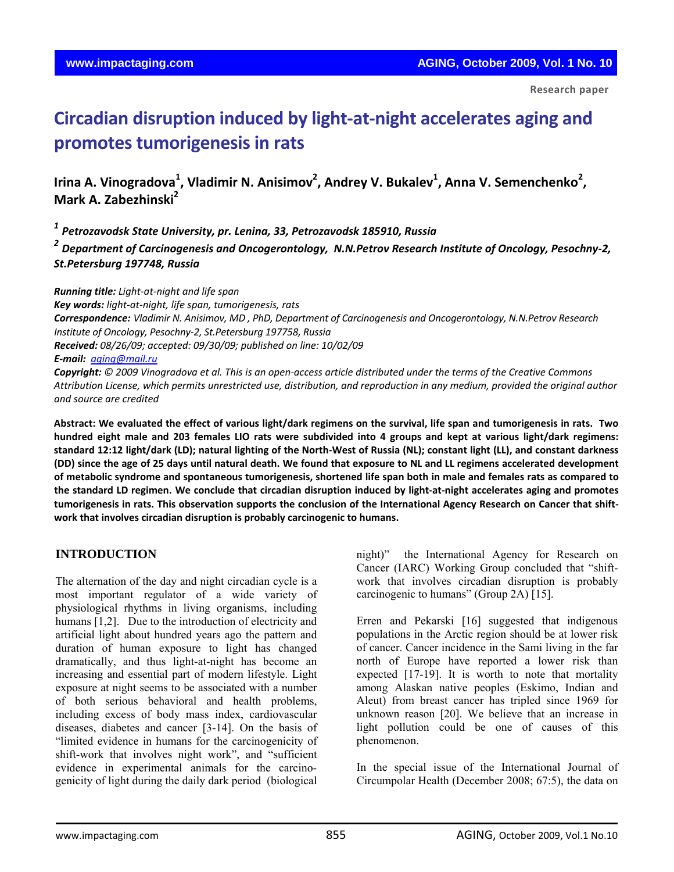**Research paper** 

# **Circadian disruption induced by light‐at‐night accelerates aging and promotes tumorigenesis in rats**

Irina A. Vinogradova<sup>1</sup>, Vladimir N. Anisimov<sup>2</sup>, Andrey V. Bukalev<sup>1</sup>, Anna V. Semenchenko<sup>2</sup>, **Mark A. Zabezhinski2**

*<sup>1</sup> Petrozavodsk State University, pr. Lenina, 33, Petrozavodsk 185910, Russia*

*<sup>2</sup> Department of Carcinogenesis and Oncogerontology, N.N.Petrov Research Institute of Oncology, Pesochny‐2, St.Petersburg 197748, Russia*

*Running title: Light‐at‐night and life span* 

*Key words: light‐at‐night, life span, tumorigenesis, rats Correspondence: Vladimir N. Anisimov, MD , PhD, Department of Carcinogenesis and Oncogerontology, N.N.Petrov Research Institute of Oncology, Pesochny‐2, St.Petersburg 197758, Russia Received: 08/26/09; accepted: 09/30/09; published on line: 10/02/09 E‐mail: [aging@mail.ru](mailto:aging@mail.ru)*

Copyright: © 2009 Vinogradova et al. This is an open-access article distributed under the terms of the Creative Commons Attribution License, which permits unrestricted use, distribution, and reproduction in any medium, provided the original author *and source are credited*

Abstract: We evaluated the effect of various light/dark regimens on the survival, life span and tumorigenesis in rats. Two hundred eight male and 203 females LIO rats were subdivided into 4 groups and kept at various light/dark regimens: standard 12:12 light/dark (LD); natural lighting of the North-West of Russia (NL); constant light (LL), and constant darkness (DD) since the age of 25 days until natural death. We found that exposure to NL and LL regimens accelerated development of metabolic syndrome and spontaneous tumorigenesis, shortened life span both in male and females rats as compared to the standard LD regimen. We conclude that circadian disruption induced by light-at-night accelerates aging and promotes tumorigenesis in rats. This observation supports the conclusion of the International Agency Research on Cancer that shift**work that involves circadian disruption is probably carcinogenic to humans.**

# **INTRODUCTION**

The alternation of the day and night circadian cycle is a most important regulator of a wide variety of physiological rhythms in living organisms, including humans [1,2]. Due to the introduction of electricity and artificial light about hundred years ago the pattern and duration of human exposure to light has changed dramatically, and thus light-at-night has become an increasing and essential part of modern lifestyle. Light exposure at night seems to be associated with a number of both serious behavioral and health problems, including excess of body mass index, cardiovascular diseases, diabetes and cancer [3-14]. On the basis of "limited evidence in humans for the carcinogenicity of shift-work that involves night work", and "sufficient evidence in experimental animals for the carcinogenicity of light during the daily dark period (biological

night)" the International Agency for Research on Cancer (IARC) Working Group concluded that "shiftwork that involves circadian disruption is probably carcinogenic to humans" (Group 2A) [15].

Erren and Pekarski [16] suggested that indigenous populations in the Arctic region should be at lower risk of cancer. Cancer incidence in the Sami living in the far north of Europe have reported a lower risk than expected [17-19]. It is worth to note that mortality among Alaskan native peoples (Eskimo, Indian and Aleut) from breast cancer has tripled since 1969 for unknown reason [20]. We believe that an increase in light pollution could be one of causes of this phenomenon.

In the special issue of the International Journal of Circumpolar Health (December 2008; 67:5), the data on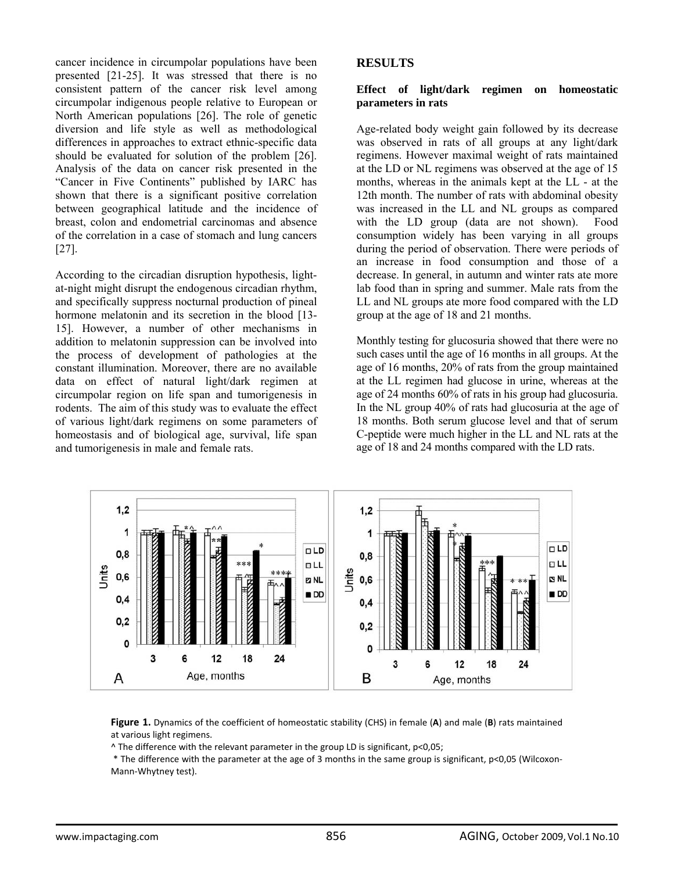cancer incidence in circumpolar populations have been presented [21-25]. It was stressed that there is no consistent pattern of the cancer risk level among circumpolar indigenous people relative to European or North American populations [26]. The role of genetic diversion and life style as well as methodological differences in approaches to extract ethnic-specific data should be evaluated for solution of the problem [26]. Analysis of the data on cancer risk presented in the "Cancer in Five Continents" published by IARC has shown that there is a significant positive correlation between geographical latitude and the incidence of breast, colon and endometrial carcinomas and absence of the correlation in a case of stomach and lung cancers [27].

According to the circadian disruption hypothesis, lightat-night might disrupt the endogenous circadian rhythm, and specifically suppress nocturnal production of pineal hormone melatonin and its secretion in the blood [13-15]. However, a number of other mechanisms in addition to melatonin suppression can be involved into the process of development of pathologies at the constant illumination. Moreover, there are no available data on effect of natural light/dark regimen at circumpolar region on life span and tumorigenesis in rodents. The aim of this study was to evaluate the effect of various light/dark regimens on some parameters of homeostasis and of biological age, survival, life span and tumorigenesis in male and female rats.

## **RESULTS**

#### **Effect of light/dark regimen on homeostatic parameters in rats**

Age-related body weight gain followed by its decrease was observed in rats of all groups at any light/dark regimens. However maximal weight of rats maintained at the LD or NL regimens was observed at the age of 15 months, whereas in the animals kept at the LL - at the 12th month. The number of rats with abdominal obesity was increased in the LL and NL groups as compared with the LD group (data are not shown). Food consumption widely has been varying in all groups during the period of observation. There were periods of an increase in food consumption and those of a decrease. In general, in autumn and winter rats ate more lab food than in spring and summer. Male rats from the LL and NL groups ate more food compared with the LD group at the age of 18 and 21 months.

Monthly testing for glucosuria showed that there were no such cases until the age of 16 months in all groups. At the age of 16 months, 20% of rats from the group maintained at the LL regimen had glucose in urine, whereas at the age of 24 months 60% of rats in his group had glucosuria. In the NL group 40% of rats had glucosuria at the age of 18 months. Both serum glucose level and that of serum C-peptide were much higher in the LL and NL rats at the age of 18 and 24 months compared with the LD rats.



**Figure 1.** Dynamics of the coefficient of homeostatic stability (CHS) in female (**A**) and male (**B**) rats maintained at various light regimens.

^ The difference with the relevant parameter in the group LD is significant, р<0,05;

\* The difference with the parameter at the age of 3 months in the same group is significant, р<0,05 (Wilcoxon‐ Mann‐Whytney test).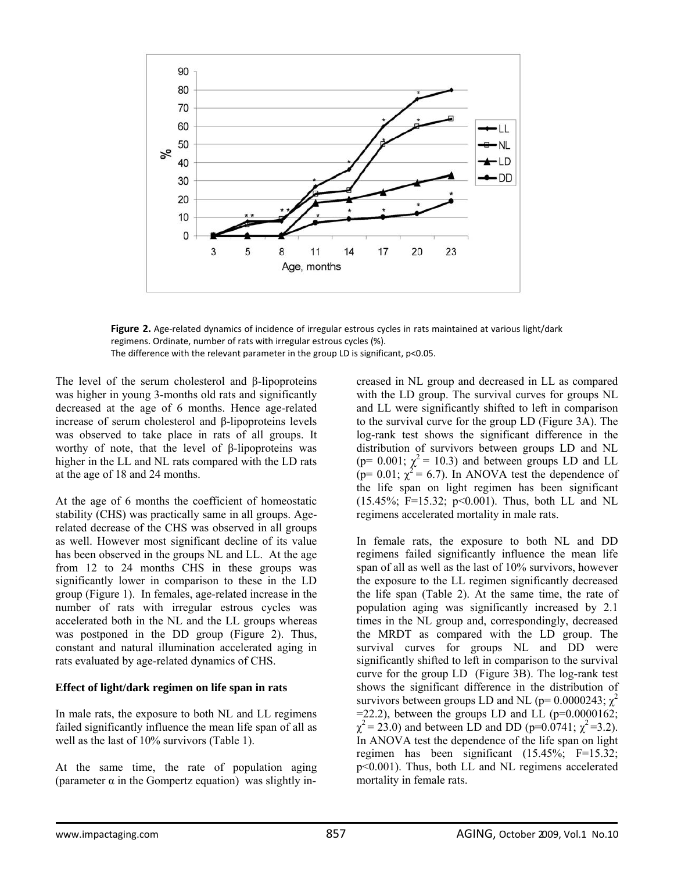

**Figure 2.** Age‐related dynamics of incidence of irregular estrous cycles in rats maintained at various light/dark regimens. Ordinate, number of rats with irregular estrous cycles (%). The difference with the relevant parameter in the group LD is significant, p<0.05.

The level of the serum cholesterol and β-lipoproteins was higher in young 3-months old rats and significantly decreased at the age of 6 months. Hence age-related increase of serum cholesterol and β-lipoproteins levels was observed to take place in rats of all groups. It worthy of note, that the level of β-lipoproteins was higher in the LL and NL rats compared with the LD rats at the age of 18 and 24 months.

At the age of 6 months the coefficient of homeostatic stability (CHS) was practically same in all groups. Agerelated decrease of the CHS was observed in all groups as well. However most significant decline of its value has been observed in the groups NL and LL. At the age from 12 to 24 months CHS in these groups was significantly lower in comparison to these in the LD group (Figure 1). In females, age-related increase in the number of rats with irregular estrous cycles was accelerated both in the NL and the LL groups whereas was postponed in the DD group (Figure 2). Thus, constant and natural illumination accelerated aging in rats evaluated by age-related dynamics of CHS.

#### **Effect of light/dark regimen on life span in rats**

In male rats, the exposure to both NL and LL regimens failed significantly influence the mean life span of all as well as the last of 10% survivors (Table 1).

At the same time, the rate of population aging (parameter  $\alpha$  in the Gompertz equation) was slightly increased in NL group and decreased in LL as compared with the LD group. The survival curves for groups NL and LL were significantly shifted to left in comparison to the survival curve for the group LD (Figure 3A). The log-rank test shows the significant difference in the distribution of survivors between groups LD and NL (p= 0.001;  $\chi^2$  = 10.3) and between groups LD and LL  $(p= 0.01; \chi^2 = 6.7)$ . In ANOVA test the dependence of the life span on light regimen has been significant (15.45%; F=15.32; p<0.001). Thus, both LL and NL regimens accelerated mortality in male rats.

In female rats, the exposure to both NL and DD regimens failed significantly influence the mean life span of all as well as the last of 10% survivors, however the exposure to the LL regimen significantly decreased the life span (Table 2). At the same time, the rate of population aging was significantly increased by 2.1 times in the NL group and, correspondingly, decreased the MRDT as compared with the LD group. The survival curves for groups NL and DD were significantly shifted to left in comparison to the survival curve for the group LD (Figure 3B). The log-rank test shows the significant difference in the distribution of survivors between groups LD and NL ( $p=0.0000243$ ;  $\chi^2$  $=$  22.2), between the groups LD and LL ( $p=0.0000162$ ;  $\chi^2$  = 23.0) and between LD and DD (p=0.0741;  $\chi^2$  = 3.2). In ANOVA test the dependence of the life span on light regimen has been significant (15.45%; F=15.32; p<0.001). Thus, both LL and NL regimens accelerated mortality in female rats.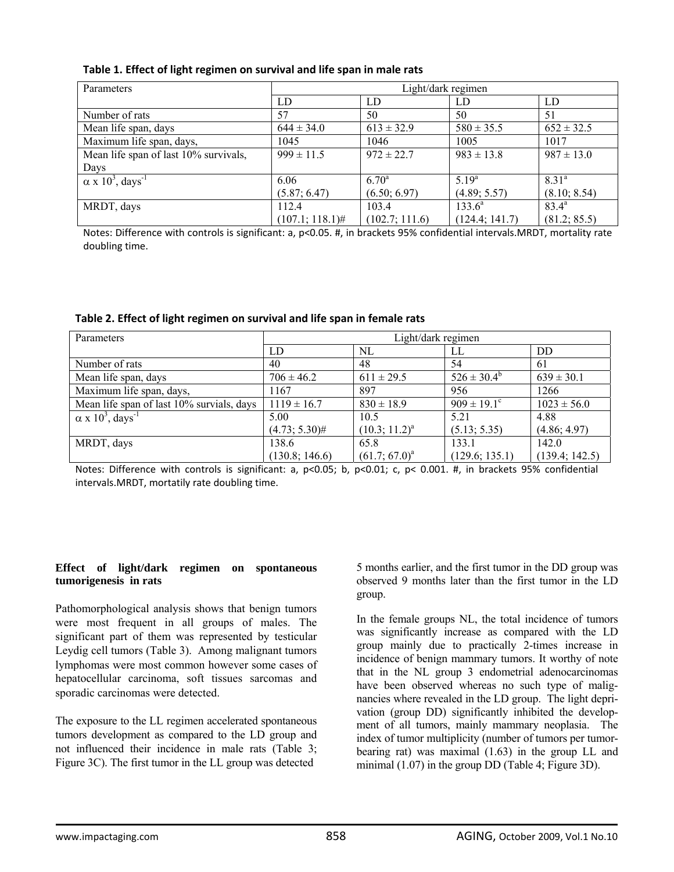|  |  |  |  |  |  |  | Table 1. Effect of light regimen on survival and life span in male rats |
|--|--|--|--|--|--|--|-------------------------------------------------------------------------|
|--|--|--|--|--|--|--|-------------------------------------------------------------------------|

| Parameters                                      | Light/dark regimen |                |                |                |  |
|-------------------------------------------------|--------------------|----------------|----------------|----------------|--|
|                                                 | LD                 | LD             | LD             | LD             |  |
| Number of rats                                  | 57                 | 50             | 50             | 51             |  |
| Mean life span, days                            | $644 \pm 34.0$     | $613 \pm 32.9$ | $580 \pm 35.5$ | $652 \pm 32.5$ |  |
| Maximum life span, days,                        | 1045               | 1046           | 1005           | 1017           |  |
| Mean life span of last 10% survivals,           | $999 \pm 11.5$     | $972 \pm 22.7$ | $983 \pm 13.8$ | $987 \pm 13.0$ |  |
| Days                                            |                    |                |                |                |  |
| $\alpha$ x 10 <sup>3</sup> , days <sup>-1</sup> | 6.06               | $6.70^{\rm a}$ | $5.19^{a}$     | $8.31^{a}$     |  |
|                                                 | (5.87; 6.47)       | (6.50; 6.97)   | (4.89; 5.57)   | (8.10; 8.54)   |  |
| MRDT, days                                      | 112.4              | 103.4          | $133.6^a$      | $83.4^{\circ}$ |  |
|                                                 | $(107.1; 118.1)$ # | (102.7; 111.6) | (124.4; 141.7) | (81.2; 85.5)   |  |

Notes: Difference with controls is significant: a, p<0.05. #, in brackets 95% confidential intervals.MRDT, mortality rate doubling time.

| Parameters                                      | Light/dark regimen |                    |                             |                 |  |
|-------------------------------------------------|--------------------|--------------------|-----------------------------|-----------------|--|
|                                                 | LD                 | NL                 | LL                          | DD              |  |
| Number of rats                                  | 40                 | 48                 | 54                          | 61              |  |
| Mean life span, days                            | $706 \pm 46.2$     | $611 \pm 29.5$     | $526 \pm 30.4^b$            | $639 \pm 30.1$  |  |
| Maximum life span, days,                        | 1167               | 897                | 956                         | 1266            |  |
| Mean life span of last 10% survials, days       | $1119 \pm 16.7$    | $830 \pm 18.9$     | $909 \pm 19.1$ <sup>c</sup> | $1023 \pm 56.0$ |  |
| $\alpha$ x 10 <sup>3</sup> , days <sup>-1</sup> | 5.00               | 10.5               | 5.21                        | 4.88            |  |
|                                                 | $(4.73; 5.30)$ #   | $(10.3; 11.2)^{a}$ | (5.13; 5.35)                | (4.86; 4.97)    |  |
| MRDT, days                                      | 138.6              | 65.8               | 133.1                       | 142.0           |  |
|                                                 | (130.8; 146.6)     | $(61.7; 67.0)^a$   | (129.6; 135.1)              | (139.4; 142.5)  |  |

**Table 2. Effect of light regimen on survival and life span in female rats**

Notes: Difference with controls is significant: a, p<0.05; b, p<0.01; c, p< 0.001. #, in brackets 95% confidential intervals.MRDT, mortatily rate doubling time.

#### **Effect of light/dark regimen on spontaneous tumorigenesis in rats**

Pathomorphological analysis shows that benign tumors were most frequent in all groups of males. The significant part of them was represented by testicular Leydig cell tumors (Table 3). Among malignant tumors lymphomas were most common however some cases of hepatocellular carcinoma, soft tissues sarcomas and sporadic carcinomas were detected.

The exposure to the LL regimen accelerated spontaneous tumors development as compared to the LD group and not influenced their incidence in male rats (Table 3; Figure 3C). The first tumor in the LL group was detected

5 months earlier, and the first tumor in the DD group was observed 9 months later than the first tumor in the LD group.

In the female groups NL, the total incidence of tumors was significantly increase as compared with the LD group mainly due to practically 2-times increase in incidence of benign mammary tumors. It worthy of note that in the NL group 3 endometrial adenocarcinomas have been observed whereas no such type of malignancies where revealed in the LD group. The light deprivation (group DD) significantly inhibited the development of all tumors, mainly mammary neoplasia. The index of tumor multiplicity (number of tumors per tumorbearing rat) was maximal (1.63) in the group LL and minimal (1.07) in the group DD (Table 4; Figure 3D).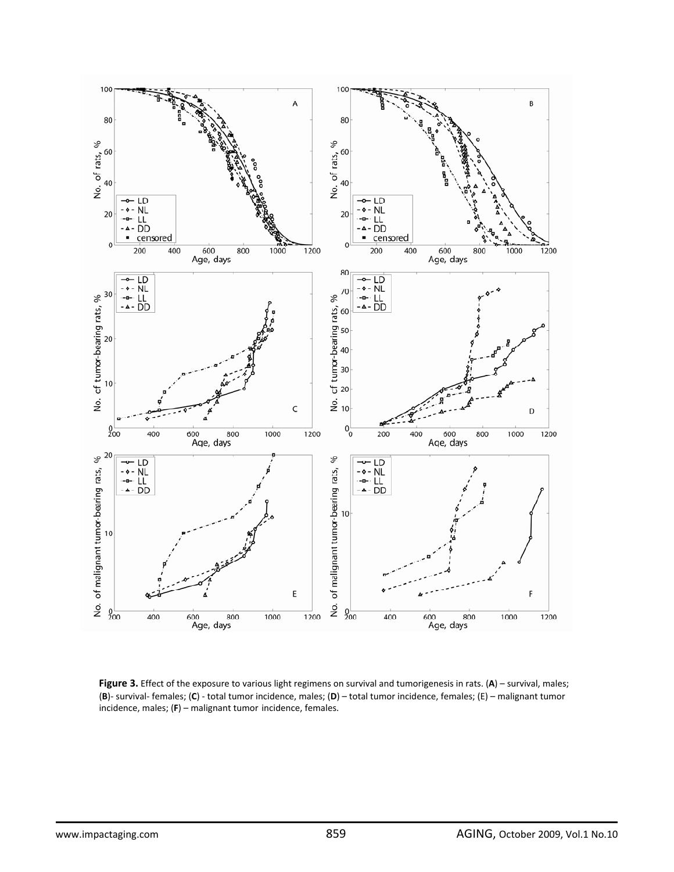

**Figure 3.** Effect of the exposure to various light regimens on survival and tumorigenesis in rats. (**A**) – survival, males; (**B**)‐ survival‐ females; (**C**) ‐ total tumor incidence, males; (**D**) – total tumor incidence, females; (E) – malignant tumor incidence, males; (**F**) – malignant tumor incidence, females.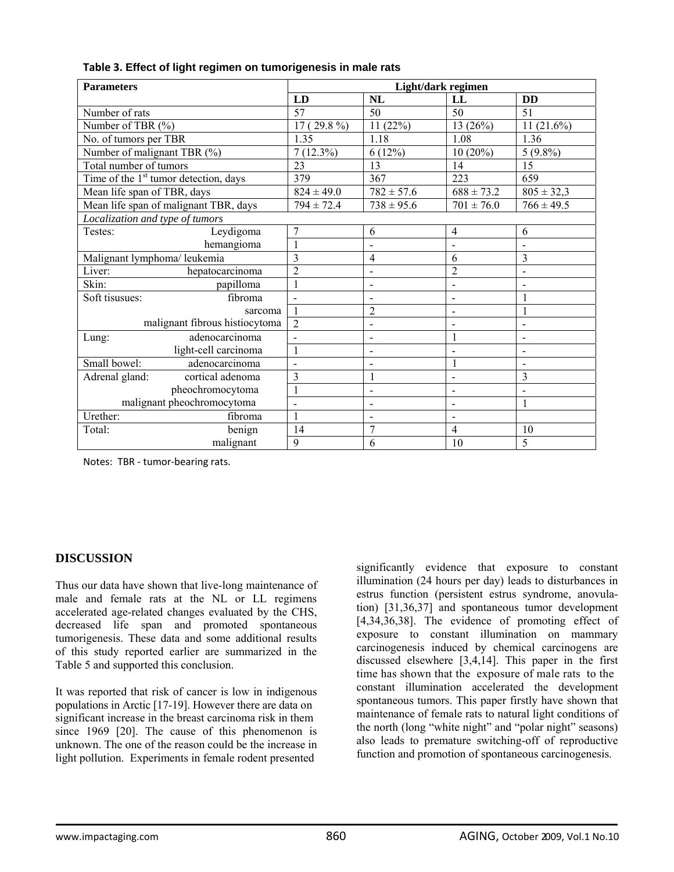| <b>Parameters</b>               |                                         | Light/dark regimen |                              |                              |                              |  |
|---------------------------------|-----------------------------------------|--------------------|------------------------------|------------------------------|------------------------------|--|
|                                 |                                         | LD                 | <b>NL</b>                    | LL                           | <b>DD</b>                    |  |
| Number of rats                  |                                         | 57                 | 50                           | 50                           | 51                           |  |
| Number of TBR (%)               |                                         | 17 (29.8 $\%$ )    | 11(22%)                      | 13(26%)                      | $11(21.6\%)$                 |  |
| No. of tumors per TBR           |                                         | 1.35               | 1.18                         | 1.08                         | 1.36                         |  |
| Number of malignant TBR (%)     |                                         | $7(12.3\%)$        | 6(12%)                       | $10(20\%)$                   | $5(9.8\%)$                   |  |
| Total number of tumors          |                                         | 23                 | 13                           | 14                           | 15                           |  |
|                                 | Time of the $1st$ tumor detection, days | 379                | 367                          | 223                          | 659                          |  |
| Mean life span of TBR, days     |                                         | $824 \pm 49.0$     | $782 \pm 57.6$               | $688 \pm 73.2$               | $805 \pm 32,3$               |  |
|                                 | Mean life span of malignant TBR, days   | $794 \pm 72.4$     | $738 \pm 95.6$               | $701 \pm 76.0$               | $766 \pm 49.5$               |  |
| Localization and type of tumors |                                         |                    |                              |                              |                              |  |
| Testes:                         | Leydigoma                               | $\overline{7}$     | 6                            | 4                            | 6                            |  |
|                                 | hemangioma                              | $\mathbf{1}$       | $\blacksquare$               | $\overline{a}$               | $\overline{a}$               |  |
| Malignant lymphoma/ leukemia    |                                         | 3                  | $\overline{4}$               | 6                            | 3                            |  |
| Liver:                          | hepatocarcinoma                         | $\overline{2}$     | $\qquad \qquad \blacksquare$ | $\overline{c}$               | $\overline{a}$               |  |
| Skin:                           | papilloma                               | 1                  | $\overline{\phantom{a}}$     | $\overline{a}$               | $\qquad \qquad \blacksquare$ |  |
| Soft tisusues:                  | fibroma                                 | $\blacksquare$     | $\blacksquare$               | $\overline{a}$               | $\mathbf{1}$                 |  |
|                                 | sarcoma                                 | $\overline{1}$     | $\overline{2}$               |                              | 1                            |  |
| malignant fibrous histiocytoma  |                                         | $\overline{2}$     | $\overline{\phantom{a}}$     | $\overline{\phantom{0}}$     | $\overline{\phantom{a}}$     |  |
| Lung:                           | adenocarcinoma                          | $\blacksquare$     | $\overline{\phantom{a}}$     | $\mathbf{1}$                 | $\overline{\phantom{a}}$     |  |
|                                 | light-cell carcinoma                    | $\mathbf{1}$       | $\blacksquare$               | $\overline{\phantom{a}}$     | $\blacksquare$               |  |
| Small bowel:                    | adenocarcinoma                          | $\overline{a}$     | $\overline{\phantom{a}}$     | 1                            | $\overline{a}$               |  |
| Adrenal gland:                  | cortical adenoma                        | 3                  | $\mathbf{1}$                 | $\blacksquare$               | 3                            |  |
|                                 | pheochromocytoma                        | $\mathbf{1}$       | $\blacksquare$               | $\overline{\phantom{a}}$     | $\overline{\phantom{0}}$     |  |
| malignant pheochromocytoma      |                                         | $\blacksquare$     | $\overline{a}$               | ÷                            | $\mathbf{1}$                 |  |
| Urether:                        | fibroma                                 | $\mathbf{1}$       | $\overline{\phantom{a}}$     | $\qquad \qquad \blacksquare$ |                              |  |
| Total:                          | benign                                  | 14                 | 7                            | $\overline{4}$               | 10                           |  |
|                                 | malignant                               | 9                  | 6                            | 10                           | 5                            |  |

### **Table 3. Effect of light regimen on tumorigenesis in male rats**

Notes: TBR ‐ tumor‐bearing rats.

## **DISCUSSION**

Thus our data have shown that live-long maintenance of male and female rats at the NL or LL regimens accelerated age-related changes evaluated by the CHS, decreased life span and promoted spontaneous tumorigenesis. These data and some additional results of this study reported earlier are summarized in the Table 5 and supported this conclusion.

It was reported that risk of cancer is low in indigenous populations in Arctic [17-19]. However there are data on significant increase in the breast carcinoma risk in them since 1969 [20]. The cause of this phenomenon is unknown. The one of the reason could be the increase in light pollution. Experiments in female rodent presented

significantly evidence that exposure to constant illumination (24 hours per day) leads to disturbances in estrus function (persistent estrus syndrome, anovulation) [31,36,37] and spontaneous tumor development [4,34,36,38]. The evidence of promoting effect of exposure to constant illumination on mammary carcinogenesis induced by chemical carcinogens are discussed elsewhere [3,4,14]. This paper in the first time has shown that the exposure of male rats to the constant illumination accelerated the development spontaneous tumors. This paper firstly have shown that maintenance of female rats to natural light conditions of the north (long "white night" and "polar night" seasons) also leads to premature switching-off of reproductive function and promotion of spontaneous carcinogenesis.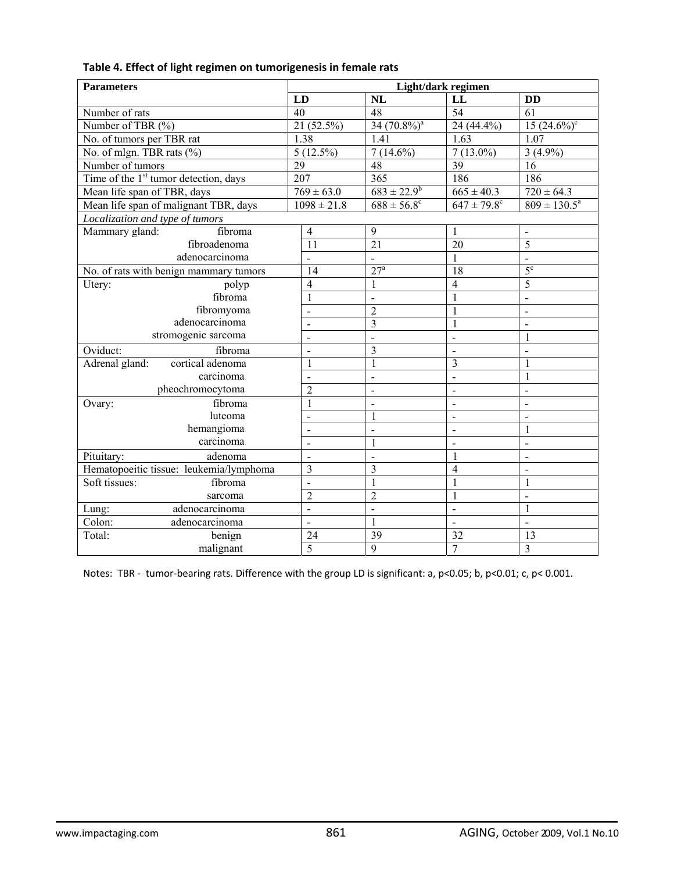| <b>Parameters</b>                                 |                          | Light/dark regimen           |                              |                              |  |  |  |
|---------------------------------------------------|--------------------------|------------------------------|------------------------------|------------------------------|--|--|--|
|                                                   | LD                       | NL                           | LL                           | <b>DD</b>                    |  |  |  |
| Number of rats                                    | 40                       | 48                           | $\overline{54}$              | $\overline{61}$              |  |  |  |
| Number of TBR (%)                                 | 21 (52.5%)               | $3\overline{4}$ $(70.8\%)^a$ | 24 (44.4%)                   | $15(24.6\%)$ <sup>c</sup>    |  |  |  |
| No. of tumors per TBR rat                         | 1.38                     | $\overline{1.41}$            | 1.63                         | 1.07                         |  |  |  |
| No. of mlgn. TBR rats (%)                         | $5(12.5\%)$              | $7(14.6\%)$                  | $7(13.0\%)$                  | $3(4.9\%)$                   |  |  |  |
| Number of tumors                                  | 29                       | 48                           | $\overline{39}$              | 16                           |  |  |  |
| Time of the 1 <sup>st</sup> tumor detection, days | 207                      | $\overline{365}$             | 186                          | 186                          |  |  |  |
| Mean life span of TBR, days                       | $769 \pm 63.0$           | $683 \pm 22.9^b$             | $665 \pm 40.3$               | $720 \pm 64.3$               |  |  |  |
| Mean life span of malignant TBR, days             | $1098 \pm 21.8$          | $688 \pm 56.8$ <sup>c</sup>  | $647 \pm 79.8$ °             | $809 \pm 130.5^a$            |  |  |  |
| Localization and type of tumors                   |                          |                              |                              |                              |  |  |  |
| fibroma<br>Mammary gland:                         | $\overline{4}$           | 9                            | 1                            | $\qquad \qquad -$            |  |  |  |
| fibroadenoma                                      | $\overline{11}$          | $\overline{21}$              | 20                           | 5                            |  |  |  |
| adenocarcinoma                                    | $\overline{a}$           | $\overline{a}$               | $\mathbf{1}$                 | $\overline{a}$               |  |  |  |
| No. of rats with benign mammary tumors            | 14                       | 27 <sup>a</sup>              | 18                           | $\overline{5^c}$             |  |  |  |
| Utery:<br>polyp                                   | 4                        | $\mathbf{1}$                 | $\overline{4}$               | 5                            |  |  |  |
| fibroma                                           | $\mathbf{1}$             | $\overline{a}$               | $\mathbf{1}$                 | $\overline{a}$               |  |  |  |
| fibromyoma                                        |                          | $\overline{2}$               | $\mathbf{1}$                 | $\frac{1}{2}$                |  |  |  |
| adenocarcinoma                                    | $\overline{a}$           | $\overline{3}$               | $\mathbf{1}$                 | $\overline{a}$               |  |  |  |
| stromogenic sarcoma                               | $\overline{\phantom{a}}$ | $\blacksquare$               | $\blacksquare$               | 1                            |  |  |  |
| Oviduct:<br>fibroma                               | $\overline{a}$           | 3                            | $\blacksquare$               | $\blacksquare$               |  |  |  |
| cortical adenoma<br>Adrenal gland:                | 1                        | $\mathbf{1}$                 | 3                            | $\mathbf{1}$                 |  |  |  |
| carcinoma                                         | $\blacksquare$           | $\blacksquare$               | $\overline{a}$               | $\mathbf{1}$                 |  |  |  |
| pheochromocytoma                                  | $\overline{2}$           | $\blacksquare$               | $\overline{a}$               | $\overline{a}$               |  |  |  |
| fibroma<br>Ovary:                                 | 1                        | $\overline{a}$               | $\overline{a}$               | $\overline{a}$               |  |  |  |
| luteoma                                           | $\overline{\phantom{0}}$ | $\mathbf{1}$                 | $\qquad \qquad \blacksquare$ | $\qquad \qquad \blacksquare$ |  |  |  |
| hemangioma                                        | $\overline{\phantom{a}}$ | $\blacksquare$               | $\overline{\phantom{a}}$     | $\mathbf{1}$                 |  |  |  |
| carcinoma                                         | $\blacksquare$           | 1                            | $\blacksquare$               | $\blacksquare$               |  |  |  |
| Pituitary:<br>adenoma                             | $\blacksquare$           | $\overline{\phantom{a}}$     | 1                            | $\overline{a}$               |  |  |  |
| Hematopoeitic tissue: leukemia/lymphoma           | 3                        | 3                            | $\overline{4}$               | $\overline{a}$               |  |  |  |
| Soft tissues:<br>fibroma                          | $\overline{a}$           | $\mathbf{1}$                 | $\mathbf{1}$                 | $\mathbf{1}$                 |  |  |  |
| sarcoma                                           | $\overline{2}$           | $\overline{c}$               | $\mathbf{1}$                 | $\blacksquare$               |  |  |  |
| adenocarcinoma<br>Lung:                           | $\overline{a}$           | $\overline{a}$               | $\blacksquare$               | $\mathbf{1}$                 |  |  |  |
| Colon:<br>adenocarcinoma                          | $\overline{a}$           | $\mathbf{1}$                 | $\overline{a}$               | $\overline{a}$               |  |  |  |
| Total:<br>benign                                  | 24                       | 39                           | 32                           | 13                           |  |  |  |
| malignant                                         | $\overline{5}$           | $\overline{9}$               | $\overline{7}$               | 3                            |  |  |  |

## **Table 4. Effect of light regimen on tumorigenesis in female rats**

Notes: TBR - tumor-bearing rats. Difference with the group LD is significant: a, p<0.05; b, p<0.01; c, p<0.001.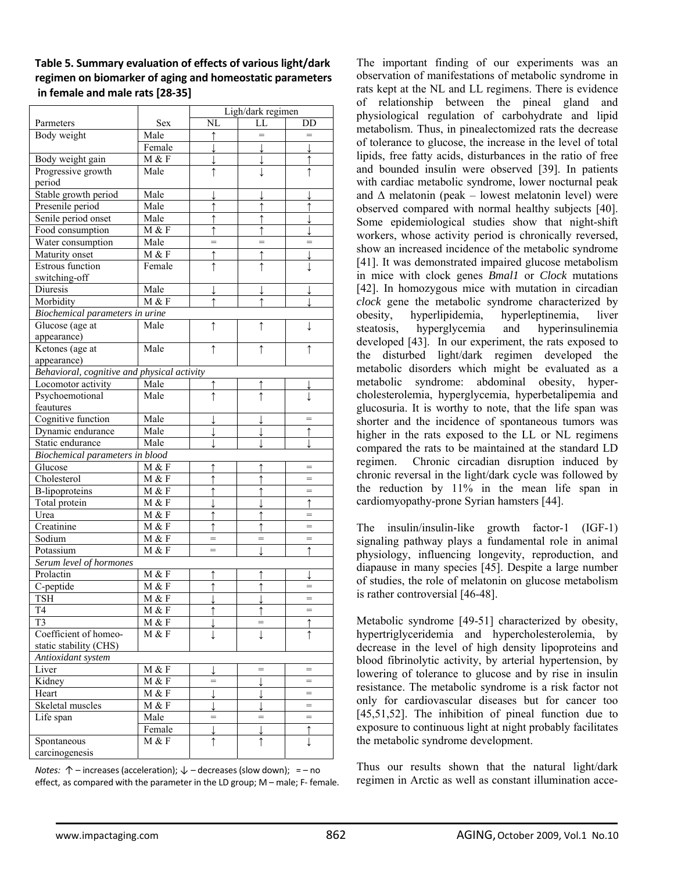## **Table 5. Summary evaluation of effects of various light/dark regimen on biomarker of aging and homeostatic parameters in female and male rats [28‐35]**

|                                             |          | Ligh/dark regimen |            |            |  |  |
|---------------------------------------------|----------|-------------------|------------|------------|--|--|
| Parmeters                                   | Sex      | NL                | LL.        | DD         |  |  |
| Body weight                                 | Male     | ↑                 | $=$        | $=$        |  |  |
|                                             | Female   |                   |            |            |  |  |
| Body weight gain                            | M & F    |                   |            |            |  |  |
| Progressive growth                          | Male     | ↑                 |            |            |  |  |
| period                                      |          |                   |            |            |  |  |
| Stable growth period                        | Male     |                   |            |            |  |  |
| Presenile period                            | Male     |                   |            |            |  |  |
| Senile period onset                         | Male     | ↑                 |            |            |  |  |
| Food consumption                            | M & F    |                   |            |            |  |  |
| Water consumption                           | Male     |                   |            |            |  |  |
| Maturity onset                              | M & F    | ↑                 |            |            |  |  |
| <b>Estrous</b> function                     | Female   | $\uparrow$        | ↑          | T          |  |  |
| switching-off                               |          |                   |            |            |  |  |
| Diuresis                                    | Male     |                   |            |            |  |  |
| Morbidity                                   | M & F    |                   |            |            |  |  |
| Biochemical parameters in urine             |          |                   |            |            |  |  |
| Glucose (age at                             | Male     | ↑                 | ↑          |            |  |  |
| appearance)                                 |          |                   |            |            |  |  |
| Ketones (age at                             | Male     | ↑                 |            |            |  |  |
| appearance)                                 |          |                   |            |            |  |  |
| Behavioral, cognitive and physical activity |          |                   |            |            |  |  |
| Locomotor activity                          | Male     |                   |            |            |  |  |
| Psychoemotional                             | Male     | ↑                 |            |            |  |  |
| feautures                                   |          |                   |            |            |  |  |
| Cognitive function                          | Male     |                   |            |            |  |  |
| Dynamic endurance                           | Male     |                   |            |            |  |  |
| Static endurance                            | Male     |                   |            |            |  |  |
| Biochemical parameters in blood             |          |                   |            |            |  |  |
| Glucose                                     | M & F    |                   |            |            |  |  |
| Cholesterol                                 | M & F    |                   |            | $=$        |  |  |
| <b>B-lipoproteins</b>                       | M & F    |                   |            | $=$        |  |  |
| Total protein                               | M & F    |                   |            |            |  |  |
| Urea                                        | M & F    | ↑                 |            |            |  |  |
| Creatinine                                  | M & F    |                   |            | $=$        |  |  |
| Sodium                                      | M & F    |                   |            |            |  |  |
| Potassium                                   | M & F    | $=$               |            |            |  |  |
| Serum level of hormones                     |          |                   |            |            |  |  |
| Prolactin                                   | M & F    |                   |            |            |  |  |
| C-peptide                                   | M & F    |                   |            |            |  |  |
| TSH                                         | M & F    | ↓                 | ↓          |            |  |  |
| T <sub>4</sub>                              | M & F    | ↑                 | $\uparrow$ | $=$        |  |  |
| T <sub>3</sub>                              | M & F    |                   | =          | ↑          |  |  |
| Coefficient of homeo-                       | M & F    | T                 | ↓          | ↑          |  |  |
| static stability (CHS)                      |          |                   |            |            |  |  |
| Antioxidant system                          |          |                   |            |            |  |  |
| Liver                                       | M & F    |                   | $=$        | =          |  |  |
| Kidney                                      | M & F    | $=$               |            | $=$        |  |  |
| Heart                                       | $M \& F$ |                   |            | $=$        |  |  |
| Skeletal muscles                            | M & F    |                   |            | $=$        |  |  |
| Life span                                   | Male     | $=$               | $=$        | $=$        |  |  |
|                                             | Female   | l                 |            | $\uparrow$ |  |  |
| Spontaneous                                 | M & F    | ↑                 | $\uparrow$ | ↓          |  |  |
| carcinogenesis                              |          |                   |            |            |  |  |

*Notes:* ↑ – increases (acceleration); ↓ – decreases (slow down); = – no effect, as compared with the parameter in the LD group; M – male; F- female.

The important finding of our experiments was an observation of manifestations of metabolic syndrome in rats kept at the NL and LL regimens. There is evidence of relationship between the pineal gland and physiological regulation of carbohydrate and lipid metabolism. Thus, in pinealectomized rats the decrease of tolerance to glucose, the increase in the level of total lipids, free fatty acids, disturbances in the ratio of free and bounded insulin were observed [39]. In patients with cardiac metabolic syndrome, lower nocturnal peak and  $\Delta$  melatonin (peak – lowest melatonin level) were observed compared with normal healthy subjects [40]. Some epidemiological studies show that night-shift workers, whose activity period is chronically reversed, show an increased incidence of the metabolic syndrome [41]. It was demonstrated impaired glucose metabolism in mice with clock genes *Bmal1* or *Clock* mutations [42]. In homozygous mice with mutation in circadian *clock* gene the metabolic syndrome characterized by obesity, hyperlipidemia, hyperleptinemia, liver steatosis, hyperglycemia and hyperinsulinemia developed [43]. In our experiment, the rats exposed to the disturbed light/dark regimen developed the metabolic disorders which might be evaluated as a metabolic syndrome: abdominal obesity, hypercholesterolemia, hyperglycemia, hyperbetalipemia and glucosuria. It is worthy to note, that the life span was shorter and the incidence of spontaneous tumors was higher in the rats exposed to the LL or NL regimens compared the rats to be maintained at the standard LD regimen. Chronic circadian disruption induced by chronic reversal in the light/dark cycle was followed by the reduction by 11% in the mean life span in cardiomyopathy-prone Syrian hamsters [44].

The insulin/insulin-like growth factor-1 (IGF-1) signaling pathway plays a fundamental role in animal physiology, influencing longevity, reproduction, and diapause in many species [45]. Despite a large number of studies, the role of melatonin on glucose metabolism is rather controversial [46-48].

Metabolic syndrome [49-51] characterized by obesity, hypertriglyceridemia and hypercholesterolemia, by decrease in the level of high density lipoproteins and blood fibrinolytic activity, by arterial hypertension, by lowering of tolerance to glucose and by rise in insulin resistance. The metabolic syndrome is a risk factor not only for cardiovascular diseases but for cancer too [45,51,52]. The inhibition of pineal function due to exposure to continuous light at night probably facilitates the metabolic syndrome development.

Thus our results shown that the natural light/dark regimen in Arctic as well as constant illumination acce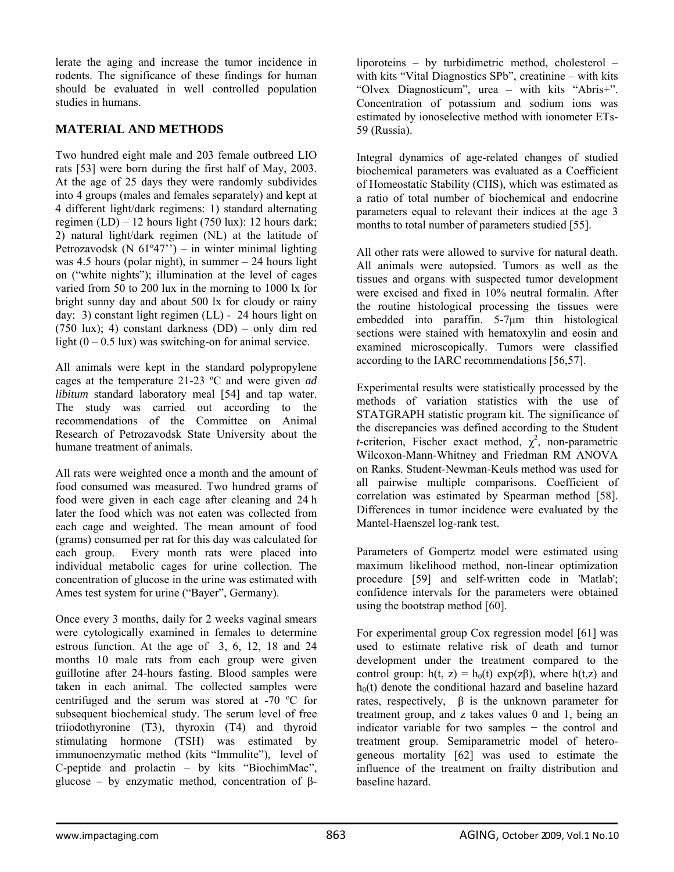lerate the aging and increase the tumor incidence in rodents. The significance of these findings for human should be evaluated in well controlled population studies in humans.

# **MATERIAL AND METHODS**

Two hundred eight male and 203 female outbreed LIO rats [53] were born during the first half of May, 2003. At the age of 25 days they were randomly subdivides into 4 groups (males and females separately) and kept at 4 different light/dark regimens: 1) standard alternating regimen (LD) – 12 hours light (750 lux): 12 hours dark; 2) natural light/dark regimen (NL) at the latitude of Petrozavodsk (N  $61°47"$ ) – in winter minimal lighting was 4.5 hours (polar night), in summer  $-24$  hours light on ("white nights"); illumination at the level of cages varied from 50 to 200 lux in the morning to 1000 lx for bright sunny day and about 500 lx for cloudy or rainy day; 3) constant light regimen (LL) - 24 hours light on (750 lux); 4) constant darkness (DD) – only dim red light  $(0 - 0.5 \text{ lux})$  was switching-on for animal service.

All animals were kept in the standard polypropylene cages at the temperature 21-23 ºC and were given *ad libitum* standard laboratory meal [54] and tap water. The study was carried out according to the recommendations of the Committee on Animal Research of Petrozavodsk State University about the humane treatment of animals.

All rats were weighted once a month and the amount of food consumed was measured. Two hundred grams of food were given in each cage after cleaning and 24 h later the food which was not eaten was collected from each cage and weighted. The mean amount of food (grams) consumed per rat for this day was calculated for each group. Every month rats were placed into individual metabolic cages for urine collection. The concentration of glucose in the urine was estimated with Ames test system for urine ("Bayer", Germany).

Once every 3 months, daily for 2 weeks vaginal smears were cytologically examined in females to determine estrous function. At the age of 3, 6, 12, 18 and 24 months 10 male rats from each group were given guillotine after 24-hours fasting. Blood samples were taken in each animal. The collected samples were centrifuged and the serum was stored at -70 ºC for subsequent biochemical study. The serum level of free triiodothyronine (T3), thyroxin (T4) and thyroid stimulating hormone (TSH) was estimated by immunoenzymatic method (kits "Immulite"), level of C-peptide and prolactin – by kits "BiochimMac", glucose – by enzymatic method, concentration of  $\beta$ - liporoteins – by turbidimetric method, cholesterol – with kits "Vital Diagnostics SPb", creatinine – with kits "Olvex Diagnosticum", urea – with kits "Abris+". Concentration of potassium and sodium ions was estimated by ionoselective method with ionometer ETs-59 (Russia).

Integral dynamics of age-related changes of studied biochemical parameters was evaluated as a Coefficient of Homeostatic Stability (CHS), which was estimated as a ratio of total number of biochemical and endocrine parameters equal to relevant their indices at the age 3 months to total number of parameters studied [55].

All other rats were allowed to survive for natural death. All animals were autopsied. Tumors as well as the tissues and organs with suspected tumor development were excised and fixed in 10% neutral formalin. After the routine histological processing the tissues were embedded into paraffin. 5-7μm thin histological sections were stained with hematoxylin and eosin and examined microscopically. Tumors were classified according to the IARC recommendations [56,57].

Experimental results were statistically processed by the methods of variation statistics with the use of STATGRAPH statistic program kit. The significance of the discrepancies was defined according to the Student *t*-criterion, Fischer exact method,  $\chi^2$ , non-parametric Wilcoxon-Mann-Whitney and Friedman RM ANOVA on Ranks. Student-Newman-Keuls method was used for all pairwise multiple comparisons. Coefficient of correlation was estimated by Spearman method [58]. Differences in tumor incidence were evaluated by the Mantel-Haenszel log-rank test.

Parameters of Gompertz model were estimated using maximum likelihood method, non-linear optimization procedure [59] and self-written code in 'Matlab'; confidence intervals for the parameters were obtained using the bootstrap method [60].

For experimental group Cox regression model [61] was used to estimate relative risk of death and tumor development under the treatment compared to the control group:  $h(t, z) = h_0(t) \exp(z\beta)$ , where  $h(t, z)$  and  $h<sub>0</sub>(t)$  denote the conditional hazard and baseline hazard rates, respectively, β is the unknown parameter for treatment group, and z takes values 0 and 1, being an indicator variable for two samples − the control and treatment group. Semiparametric model of heterogeneous mortality [62] was used to estimate the influence of the treatment on frailty distribution and baseline hazard.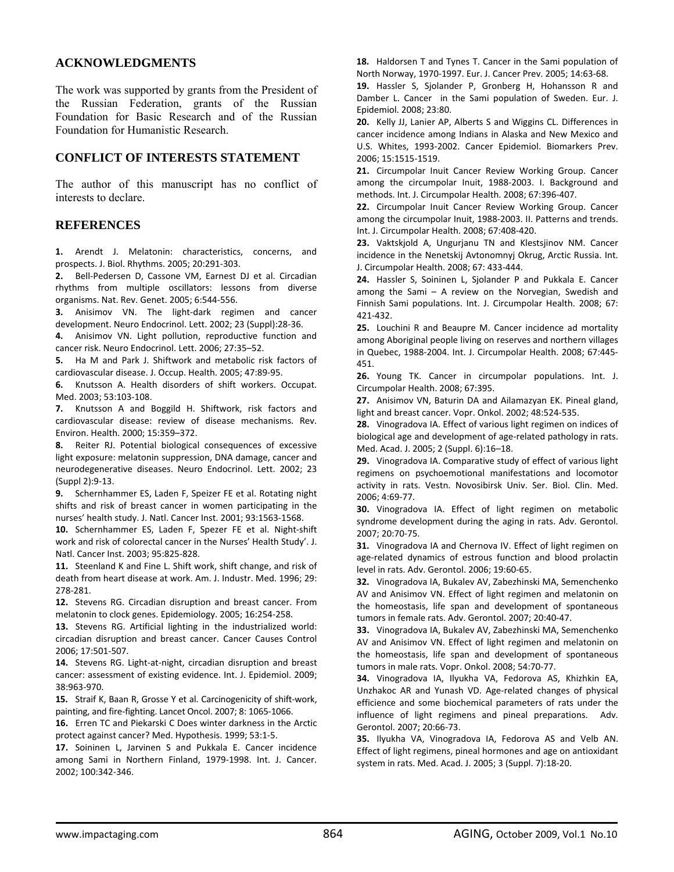### **ACKNOWLEDGMENTS**

The work was supported by grants from the President of the Russian Federation, grants of the Russian Foundation for Basic Research and of the Russian Foundation for Humanistic Research.

## **CONFLICT OF INTERESTS STATEMENT**

The author of this manuscript has no conflict of interests to declare.

#### **REFERENCES**

**1.** Arendt J. Melatonin: characteristics, concerns, and prospects. J. Biol. Rhythms. 2005; 20:291‐303.

**2.** Bell‐Pedersen D, Cassone VM, Earnest DJ et al. Circadian rhythms from multiple oscillators: lessons from diverse organisms. Nat. Rev. Genet. 2005; 6:544‐556.

**3.** Anisimov VN. The light‐dark regimen and cancer development. Neuro Endocrinol. Lett. 2002; 23 (Suppl):28‐36.

**4.** Anisimov VN. Light pollution, reproductive function and cancer risk. Neuro Endocrinol. Lett. 2006; 27:35–52.

**5.** Ha M and Park J. Shiftwork and metabolic risk factors of cardiovascular disease. J. Occup. Health. 2005; 47:89‐95.

**6.** Knutsson A. Health disorders of shift workers. Occupat. Med. 2003; 53:103‐108.

**7.** Knutsson A and Boggild H. Shiftwork, risk factors and cardiovascular disease: review of disease mechanisms. Rev. Environ. Health. 2000; 15:359–372.

**8.** Reiter RJ. Potential biological consequences of excessive light exposure: melatonin suppression, DNA damage, cancer and neurodegenerative diseases. Neuro Endocrinol. Lett. 2002; 23 (Suppl 2):9‐13.

**9.** Schernhammer ES, Laden F, Speizer FE et al. Rotating night shifts and risk of breast cancer in women participating in the nurses' health study. J. Natl. Cancer Inst. 2001; 93:1563‐1568.

**10.** Schernhammer ES, Laden F, Spezer FE et al. Night‐shift work and risk of colorectal cancer in the Nurses' Health Study'. J. Natl. Cancer Inst. 2003; 95:825‐828.

**11.** Steenland K and Fine L. Shift work, shift change, and risk of death from heart disease at work. Am. J. Industr. Med. 1996; 29: 278‐281.

**12.** Stevens RG. Circadian disruption and breast cancer. From melatonin to clock genes. Epidemiology. 2005; 16:254‐258.

**13.** Stevens RG. Artificial lighting in the industrialized world: circadian disruption and breast cancer. Cancer Causes Control 2006; 17:501‐507.

**14.** Stevens RG. Light‐at‐night, circadian disruption and breast cancer: assessment of existing evidence. Int. J. Epidemiol. 2009; 38:963‐970.

**15.** Straif K, Baan R, Grosse Y et al. Carcinogenicity of shift‐work, painting, and fire‐fighting. Lancet Oncol. 2007; 8: 1065‐1066.

**16.** Erren TC and Piekarski C Does winter darkness in the Arctic protect against cancer? Med. Hypothesis. 1999; 53:1‐5.

**17.** Soininen L, Jarvinen S and Pukkala E. Cancer incidence among Sami in Northern Finland, 1979‐1998. Int. J. Cancer. 2002; 100:342‐346.

**18.** Haldorsen T and Tynes T. Cancer in the Sami population of North Norway, 1970‐1997. Eur. J. Cancer Prev. 2005; 14:63‐68.

**19.** Hassler S, Sjolander P, Gronberg H, Hohansson R and Damber L. Cancer in the Sami population of Sweden. Eur. J. Epidemiol. 2008; 23:80.

**20.** Kelly JJ, Lanier AP, Alberts S and Wiggins CL. Differences in cancer incidence among Indians in Alaska and New Mexico and U.S. Whites, 1993‐2002. Cancer Epidemiol. Biomarkers Prev. 2006; 15:1515‐1519.

**21.** Circumpolar Inuit Cancer Review Working Group. Cancer among the circumpolar Inuit, 1988‐2003. I. Background and methods. Int. J. Circumpolar Health. 2008; 67:396‐407.

**22.** Circumpolar Inuit Cancer Review Working Group. Cancer among the circumpolar Inuit, 1988‐2003. II. Patterns and trends. Int. J. Circumpolar Health. 2008; 67:408‐420.

**23.** Vaktskjold A, Ungurjanu TN and Klestsjinov NM. Cancer incidence in the Nenetskij Avtonomnyj Okrug, Arctic Russia. Int. J. Circumpolar Health. 2008; 67: 433‐444.

**24.** Hassler S, Soininen L, Sjolander P and Pukkala E. Cancer among the Sami – A review on the Norvegian, Swedish and Finnish Sami populations. Int. J. Circumpolar Health. 2008; 67: 421‐432.

**25.** Louchini R and Beaupre M. Cancer incidence ad mortality among Aboriginal people living on reserves and northern villages in Quebec, 1988‐2004. Int. J. Circumpolar Health. 2008; 67:445‐ 451.

**26.** Young TK. Cancer in circumpolar populations. Int. J. Circumpolar Health. 2008; 67:395.

**27.** Anisimov VN, Baturin DA and Ailamazyan EK. Pineal gland, light and breast cancer. Vopr. Onkol. 2002; 48:524‐535.

**28.** Vinogradova IA. Effect of various light regimen on indices of biological age and development of age‐related pathology in rats. Med. Acad. J. 2005; 2 (Suppl. 6):16–18.

**29.** Vinogradova IA. Comparative study of effect of various light regimens on psychoemotional manifestations and locomotor activity in rats. Vestn. Novosibirsk Univ. Ser. Biol. Clin. Med. 2006; 4:69‐77.

**30.** Vinogradova IA. Effect of light regimen on metabolic syndrome development during the aging in rats. Adv. Gerontol. 2007; 20:70‐75.

**31.** Vinogradova IA and Chernova IV. Effect of light regimen on age‐related dynamics of estrous function and blood prolactin level in rats. Adv. Gerontol. 2006; 19:60‐65.

**32.** Vinogradova IA, Bukalev AV, Zabezhinski MA, Semenchenko AV and Anisimov VN. Effect of light regimen and melatonin on the homeostasis, life span and development of spontaneous tumors in female rats. Adv. Gerontol. 2007; 20:40‐47.

**33.** Vinogradova IA, Bukalev AV, Zabezhinski MA, Semenchenko AV and Anisimov VN. Effect of light regimen and melatonin on the homeostasis, life span and development of spontaneous tumors in male rats. Vopr. Onkol. 2008; 54:70‐77.

**34.** Vinogradova IA, Ilyukha VA, Fedorova AS, Khizhkin EA, Unzhakoc AR and Yunash VD. Age‐related changes of physical efficience and some biochemical parameters of rats under the influence of light regimens and pineal preparations. Adv. Gerontol. 2007; 20:66‐73.

**35.** Ilyukha VA, Vinogradova IA, Fedorova AS and Velb AN. Effect of light regimens, pineal hormones and age on antioxidant system in rats. Med. Acad. J. 2005; 3 (Suppl. 7):18‐20.